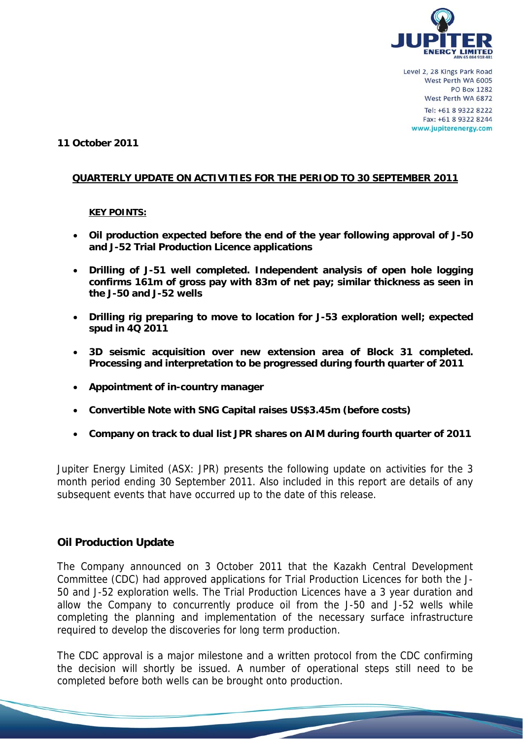

#### **11 October 2011**

#### **QUARTERLY UPDATE ON ACTIVITIES FOR THE PERIOD TO 30 SEPTEMBER 2011**

#### **KEY POINTS:**

- **Oil production expected before the end of the year following approval of J-50 and J-52 Trial Production Licence applications**
- **Drilling of J-51 well completed. Independent analysis of open hole logging confirms 161m of gross pay with 83m of net pay; similar thickness as seen in the J-50 and J-52 wells**
- **Drilling rig preparing to move to location for J-53 exploration well; expected spud in 4Q 2011**
- **3D seismic acquisition over new extension area of Block 31 completed. Processing and interpretation to be progressed during fourth quarter of 2011**
- **Appointment of in-country manager**
- **Convertible Note with SNG Capital raises US\$3.45m (before costs)**
- **Company on track to dual list JPR shares on AIM during fourth quarter of 2011**

Jupiter Energy Limited (ASX: JPR) presents the following update on activities for the 3 month period ending 30 September 2011. Also included in this report are details of any subsequent events that have occurred up to the date of this release.

### **Oil Production Update**

The Company announced on 3 October 2011 that the Kazakh Central Development Committee (CDC) had approved applications for Trial Production Licences for both the J-50 and J-52 exploration wells. The Trial Production Licences have a 3 year duration and allow the Company to concurrently produce oil from the J-50 and J-52 wells while completing the planning and implementation of the necessary surface infrastructure required to develop the discoveries for long term production.

The CDC approval is a major milestone and a written protocol from the CDC confirming the decision will shortly be issued. A number of operational steps still need to be completed before both wells can be brought onto production.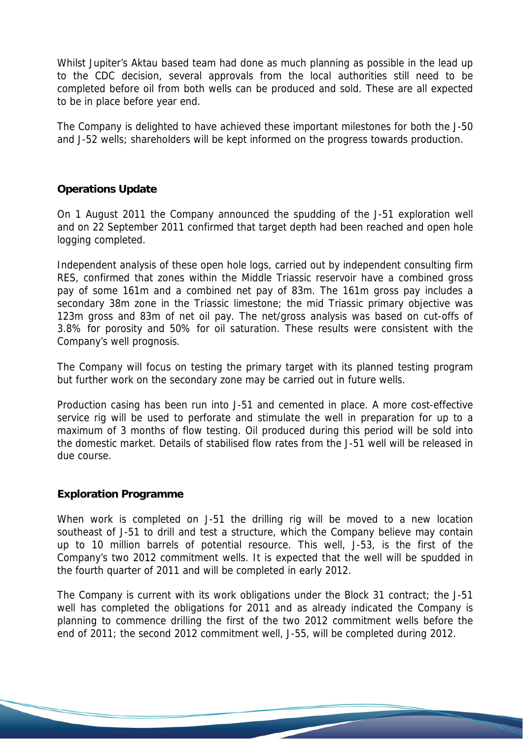Whilst Jupiter's Aktau based team had done as much planning as possible in the lead up to the CDC decision, several approvals from the local authorities still need to be completed before oil from both wells can be produced and sold. These are all expected to be in place before year end.

The Company is delighted to have achieved these important milestones for both the J-50 and J-52 wells; shareholders will be kept informed on the progress towards production.

## **Operations Update**

On 1 August 2011 the Company announced the spudding of the J-51 exploration well and on 22 September 2011 confirmed that target depth had been reached and open hole logging completed.

Independent analysis of these open hole logs, carried out by independent consulting firm RES, confirmed that zones within the Middle Triassic reservoir have a combined gross pay of some 161m and a combined net pay of 83m. The 161m gross pay includes a secondary 38m zone in the Triassic limestone; the mid Triassic primary objective was 123m gross and 83m of net oil pay. The net/gross analysis was based on cut-offs of 3.8% for porosity and 50% for oil saturation. These results were consistent with the Company's well prognosis.

The Company will focus on testing the primary target with its planned testing program but further work on the secondary zone may be carried out in future wells.

Production casing has been run into J-51 and cemented in place. A more cost-effective service rig will be used to perforate and stimulate the well in preparation for up to a maximum of 3 months of flow testing. Oil produced during this period will be sold into the domestic market. Details of stabilised flow rates from the J-51 well will be released in due course.

### **Exploration Programme**

When work is completed on J-51 the drilling rig will be moved to a new location southeast of J-51 to drill and test a structure, which the Company believe may contain up to 10 million barrels of potential resource. This well, J-53, is the first of the Company's two 2012 commitment wells. It is expected that the well will be spudded in the fourth quarter of 2011 and will be completed in early 2012.

The Company is current with its work obligations under the Block 31 contract; the J-51 well has completed the obligations for 2011 and as already indicated the Company is planning to commence drilling the first of the two 2012 commitment wells before the end of 2011; the second 2012 commitment well, J-55, will be completed during 2012.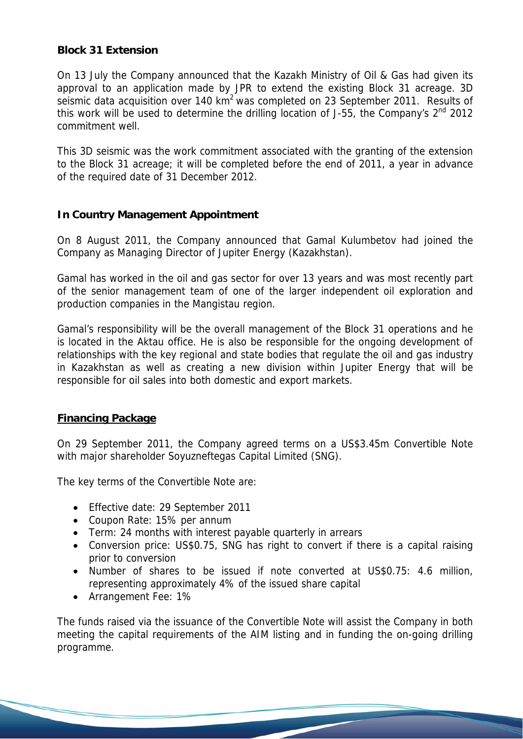### **Block 31 Extension**

On 13 July the Company announced that the Kazakh Ministry of Oil & Gas had given its approval to an application made by JPR to extend the existing Block 31 acreage. 3D seismic data acquisition over 140 km<sup>2</sup> was completed on 23 September 2011. Results of this work will be used to determine the drilling location of J-55, the Company's 2<sup>nd</sup> 2012 commitment well.

This 3D seismic was the work commitment associated with the granting of the extension to the Block 31 acreage; it will be completed before the end of 2011, a year in advance of the required date of 31 December 2012.

# **In Country Management Appointment**

On 8 August 2011, the Company announced that Gamal Kulumbetov had joined the Company as Managing Director of Jupiter Energy (Kazakhstan).

Gamal has worked in the oil and gas sector for over 13 years and was most recently part of the senior management team of one of the larger independent oil exploration and production companies in the Mangistau region.

Gamal's responsibility will be the overall management of the Block 31 operations and he is located in the Aktau office. He is also be responsible for the ongoing development of relationships with the key regional and state bodies that regulate the oil and gas industry in Kazakhstan as well as creating a new division within Jupiter Energy that will be responsible for oil sales into both domestic and export markets.

# **Financing Package**

On 29 September 2011, the Company agreed terms on a US\$3.45m Convertible Note with major shareholder Soyuzneftegas Capital Limited (SNG).

The key terms of the Convertible Note are:

- Effective date: 29 September 2011
- Coupon Rate: 15% per annum
- Term: 24 months with interest payable quarterly in arrears
- Conversion price: US\$0.75, SNG has right to convert if there is a capital raising prior to conversion
- Number of shares to be issued if note converted at US\$0.75: 4.6 million, representing approximately 4% of the issued share capital
- Arrangement Fee: 1%

The funds raised via the issuance of the Convertible Note will assist the Company in both meeting the capital requirements of the AIM listing and in funding the on-going drilling programme.